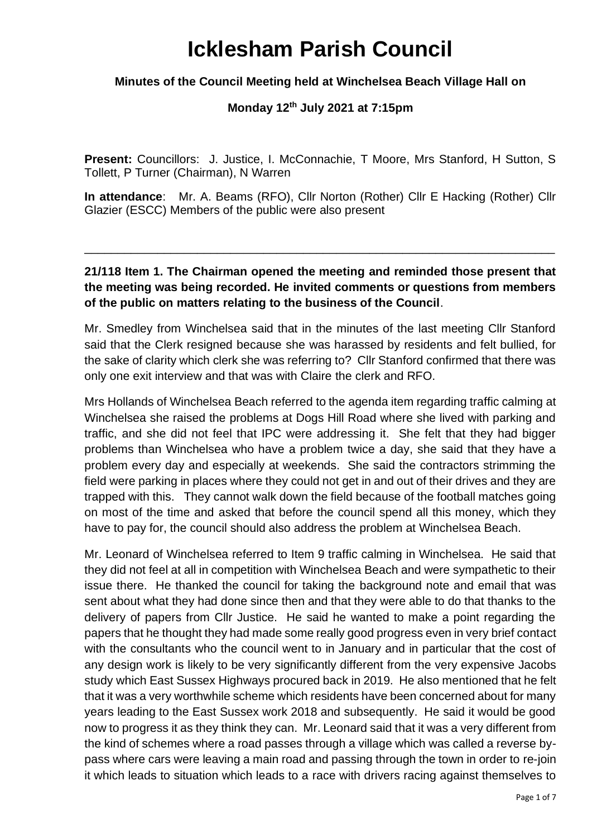# **Icklesham Parish Council**

## **Minutes of the Council Meeting held at Winchelsea Beach Village Hall on**

## **Monday 12th July 2021 at 7:15pm**

**Present:** Councillors: J. Justice, I. McConnachie, T Moore, Mrs Stanford, H Sutton, S Tollett, P Turner (Chairman), N Warren

**In attendance**: Mr. A. Beams (RFO), Cllr Norton (Rother) Cllr E Hacking (Rother) Cllr Glazier (ESCC) Members of the public were also present

# **21/118 Item 1. The Chairman opened the meeting and reminded those present that the meeting was being recorded. He invited comments or questions from members of the public on matters relating to the business of the Council**.

\_\_\_\_\_\_\_\_\_\_\_\_\_\_\_\_\_\_\_\_\_\_\_\_\_\_\_\_\_\_\_\_\_\_\_\_\_\_\_\_\_\_\_\_\_\_\_\_\_\_\_\_\_\_\_\_\_\_\_\_\_\_\_\_\_\_\_\_\_\_\_

Mr. Smedley from Winchelsea said that in the minutes of the last meeting Cllr Stanford said that the Clerk resigned because she was harassed by residents and felt bullied, for the sake of clarity which clerk she was referring to? Cllr Stanford confirmed that there was only one exit interview and that was with Claire the clerk and RFO.

Mrs Hollands of Winchelsea Beach referred to the agenda item regarding traffic calming at Winchelsea she raised the problems at Dogs Hill Road where she lived with parking and traffic, and she did not feel that IPC were addressing it. She felt that they had bigger problems than Winchelsea who have a problem twice a day, she said that they have a problem every day and especially at weekends. She said the contractors strimming the field were parking in places where they could not get in and out of their drives and they are trapped with this. They cannot walk down the field because of the football matches going on most of the time and asked that before the council spend all this money, which they have to pay for, the council should also address the problem at Winchelsea Beach.

Mr. Leonard of Winchelsea referred to Item 9 traffic calming in Winchelsea. He said that they did not feel at all in competition with Winchelsea Beach and were sympathetic to their issue there. He thanked the council for taking the background note and email that was sent about what they had done since then and that they were able to do that thanks to the delivery of papers from Cllr Justice. He said he wanted to make a point regarding the papers that he thought they had made some really good progress even in very brief contact with the consultants who the council went to in January and in particular that the cost of any design work is likely to be very significantly different from the very expensive Jacobs study which East Sussex Highways procured back in 2019. He also mentioned that he felt that it was a very worthwhile scheme which residents have been concerned about for many years leading to the East Sussex work 2018 and subsequently. He said it would be good now to progress it as they think they can. Mr. Leonard said that it was a very different from the kind of schemes where a road passes through a village which was called a reverse bypass where cars were leaving a main road and passing through the town in order to re-join it which leads to situation which leads to a race with drivers racing against themselves to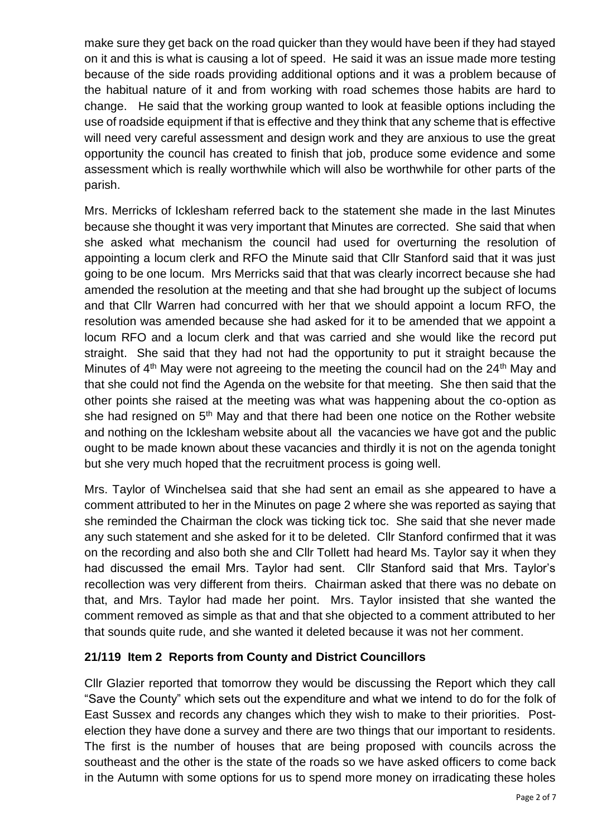make sure they get back on the road quicker than they would have been if they had stayed on it and this is what is causing a lot of speed. He said it was an issue made more testing because of the side roads providing additional options and it was a problem because of the habitual nature of it and from working with road schemes those habits are hard to change. He said that the working group wanted to look at feasible options including the use of roadside equipment if that is effective and they think that any scheme that is effective will need very careful assessment and design work and they are anxious to use the great opportunity the council has created to finish that job, produce some evidence and some assessment which is really worthwhile which will also be worthwhile for other parts of the parish.

Mrs. Merricks of Icklesham referred back to the statement she made in the last Minutes because she thought it was very important that Minutes are corrected. She said that when she asked what mechanism the council had used for overturning the resolution of appointing a locum clerk and RFO the Minute said that Cllr Stanford said that it was just going to be one locum. Mrs Merricks said that that was clearly incorrect because she had amended the resolution at the meeting and that she had brought up the subject of locums and that Cllr Warren had concurred with her that we should appoint a locum RFO, the resolution was amended because she had asked for it to be amended that we appoint a locum RFO and a locum clerk and that was carried and she would like the record put straight. She said that they had not had the opportunity to put it straight because the Minutes of  $4<sup>th</sup>$  May were not agreeing to the meeting the council had on the  $24<sup>th</sup>$  May and that she could not find the Agenda on the website for that meeting. She then said that the other points she raised at the meeting was what was happening about the co-option as she had resigned on 5<sup>th</sup> May and that there had been one notice on the Rother website and nothing on the Icklesham website about all the vacancies we have got and the public ought to be made known about these vacancies and thirdly it is not on the agenda tonight but she very much hoped that the recruitment process is going well.

Mrs. Taylor of Winchelsea said that she had sent an email as she appeared to have a comment attributed to her in the Minutes on page 2 where she was reported as saying that she reminded the Chairman the clock was ticking tick toc. She said that she never made any such statement and she asked for it to be deleted. Cllr Stanford confirmed that it was on the recording and also both she and Cllr Tollett had heard Ms. Taylor say it when they had discussed the email Mrs. Taylor had sent. Cllr Stanford said that Mrs. Taylor's recollection was very different from theirs. Chairman asked that there was no debate on that, and Mrs. Taylor had made her point. Mrs. Taylor insisted that she wanted the comment removed as simple as that and that she objected to a comment attributed to her that sounds quite rude, and she wanted it deleted because it was not her comment.

## **21/119 Item 2 Reports from County and District Councillors**

Cllr Glazier reported that tomorrow they would be discussing the Report which they call "Save the County" which sets out the expenditure and what we intend to do for the folk of East Sussex and records any changes which they wish to make to their priorities. Postelection they have done a survey and there are two things that our important to residents. The first is the number of houses that are being proposed with councils across the southeast and the other is the state of the roads so we have asked officers to come back in the Autumn with some options for us to spend more money on irradicating these holes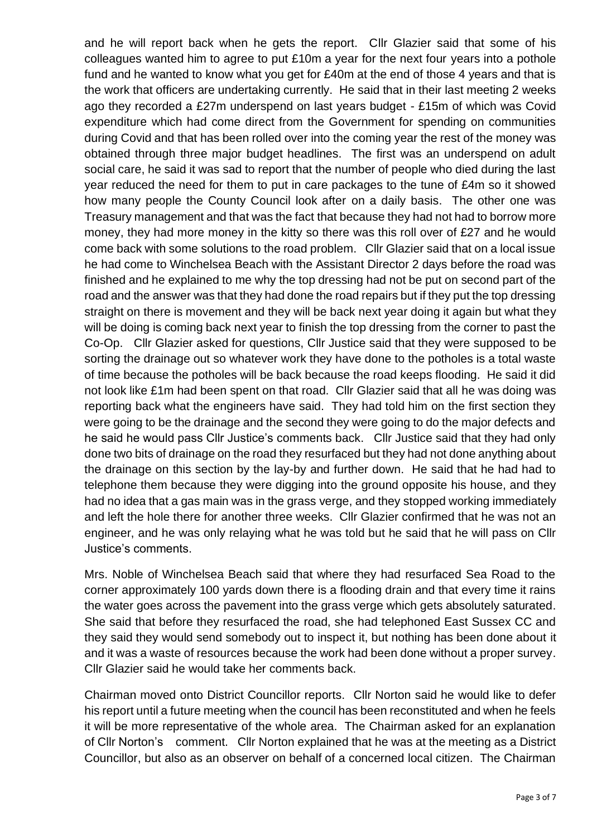and he will report back when he gets the report. Cllr Glazier said that some of his colleagues wanted him to agree to put £10m a year for the next four years into a pothole fund and he wanted to know what you get for £40m at the end of those 4 years and that is the work that officers are undertaking currently. He said that in their last meeting 2 weeks ago they recorded a £27m underspend on last years budget - £15m of which was Covid expenditure which had come direct from the Government for spending on communities during Covid and that has been rolled over into the coming year the rest of the money was obtained through three major budget headlines. The first was an underspend on adult social care, he said it was sad to report that the number of people who died during the last year reduced the need for them to put in care packages to the tune of £4m so it showed how many people the County Council look after on a daily basis. The other one was Treasury management and that was the fact that because they had not had to borrow more money, they had more money in the kitty so there was this roll over of £27 and he would come back with some solutions to the road problem. Cllr Glazier said that on a local issue he had come to Winchelsea Beach with the Assistant Director 2 days before the road was finished and he explained to me why the top dressing had not be put on second part of the road and the answer was that they had done the road repairs but if they put the top dressing straight on there is movement and they will be back next year doing it again but what they will be doing is coming back next year to finish the top dressing from the corner to past the Co-Op. Cllr Glazier asked for questions, Cllr Justice said that they were supposed to be sorting the drainage out so whatever work they have done to the potholes is a total waste of time because the potholes will be back because the road keeps flooding. He said it did not look like £1m had been spent on that road. Cllr Glazier said that all he was doing was reporting back what the engineers have said. They had told him on the first section they were going to be the drainage and the second they were going to do the major defects and he said he would pass Cllr Justice's comments back. Cllr Justice said that they had only done two bits of drainage on the road they resurfaced but they had not done anything about the drainage on this section by the lay-by and further down. He said that he had had to telephone them because they were digging into the ground opposite his house, and they had no idea that a gas main was in the grass verge, and they stopped working immediately and left the hole there for another three weeks. Cllr Glazier confirmed that he was not an engineer, and he was only relaying what he was told but he said that he will pass on Cllr Justice's comments.

Mrs. Noble of Winchelsea Beach said that where they had resurfaced Sea Road to the corner approximately 100 yards down there is a flooding drain and that every time it rains the water goes across the pavement into the grass verge which gets absolutely saturated. She said that before they resurfaced the road, she had telephoned East Sussex CC and they said they would send somebody out to inspect it, but nothing has been done about it and it was a waste of resources because the work had been done without a proper survey. Cllr Glazier said he would take her comments back.

Chairman moved onto District Councillor reports. Cllr Norton said he would like to defer his report until a future meeting when the council has been reconstituted and when he feels it will be more representative of the whole area. The Chairman asked for an explanation of Cllr Norton's comment. Cllr Norton explained that he was at the meeting as a District Councillor, but also as an observer on behalf of a concerned local citizen. The Chairman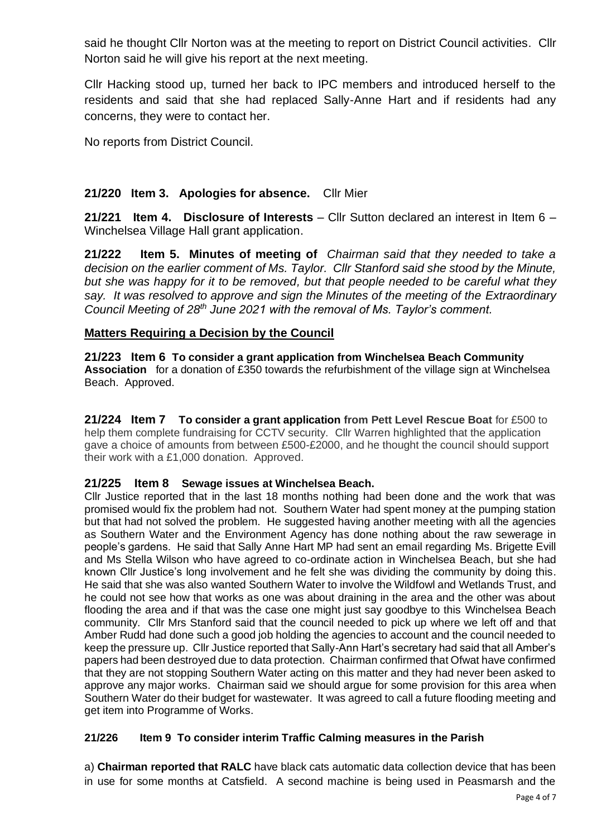said he thought Cllr Norton was at the meeting to report on District Council activities. Cllr Norton said he will give his report at the next meeting.

Cllr Hacking stood up, turned her back to IPC members and introduced herself to the residents and said that she had replaced Sally-Anne Hart and if residents had any concerns, they were to contact her.

No reports from District Council.

## **21/220 Item 3. Apologies for absence.** Cllr Mier

**21/221 Item 4. Disclosure of Interests** – Cllr Sutton declared an interest in Item 6 – Winchelsea Village Hall grant application.

**21/222 Item 5. Minutes of meeting of** *Chairman said that they needed to take a decision on the earlier comment of Ms. Taylor. Cllr Stanford said she stood by the Minute, but she was happy for it to be removed, but that people needed to be careful what they say. It was resolved to approve and sign the Minutes of the meeting of the Extraordinary Council Meeting of 28th June 2021 with the removal of Ms. Taylor's comment.* 

## **Matters Requiring a Decision by the Council**

**21/223 Item 6 To consider a grant application from Winchelsea Beach Community Association** for a donation of £350 towards the refurbishment of the village sign at Winchelsea Beach. Approved.

**21/224 Item 7 To consider a grant application from Pett Level Rescue Boat** for £500 to help them complete fundraising for CCTV security. Cllr Warren highlighted that the application gave a choice of amounts from between £500-£2000, and he thought the council should support their work with a £1,000 donation. Approved.

## **21/225 Item 8 Sewage issues at Winchelsea Beach.**

Cllr Justice reported that in the last 18 months nothing had been done and the work that was promised would fix the problem had not. Southern Water had spent money at the pumping station but that had not solved the problem. He suggested having another meeting with all the agencies as Southern Water and the Environment Agency has done nothing about the raw sewerage in people's gardens. He said that Sally Anne Hart MP had sent an email regarding Ms. Brigette Evill and Ms Stella Wilson who have agreed to co-ordinate action in Winchelsea Beach, but she had known Cllr Justice's long involvement and he felt she was dividing the community by doing this. He said that she was also wanted Southern Water to involve the Wildfowl and Wetlands Trust, and he could not see how that works as one was about draining in the area and the other was about flooding the area and if that was the case one might just say goodbye to this Winchelsea Beach community. Cllr Mrs Stanford said that the council needed to pick up where we left off and that Amber Rudd had done such a good job holding the agencies to account and the council needed to keep the pressure up. Cllr Justice reported that Sally-Ann Hart's secretary had said that all Amber's papers had been destroyed due to data protection. Chairman confirmed that Ofwat have confirmed that they are not stopping Southern Water acting on this matter and they had never been asked to approve any major works. Chairman said we should argue for some provision for this area when Southern Water do their budget for wastewater. It was agreed to call a future flooding meeting and get item into Programme of Works.

## **21/226 Item 9 To consider interim Traffic Calming measures in the Parish**

a) **Chairman reported that RALC** have black cats automatic data collection device that has been in use for some months at Catsfield. A second machine is being used in Peasmarsh and the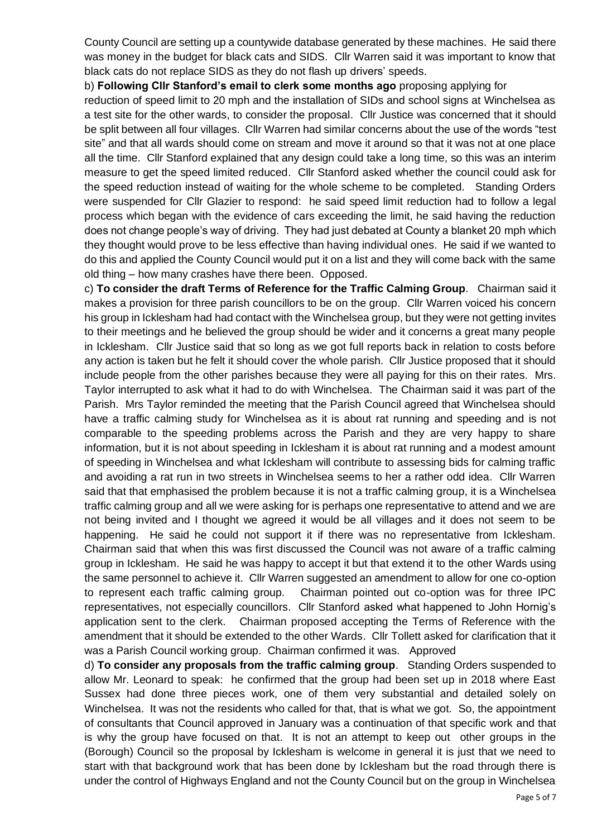County Council are setting up a countywide database generated by these machines. He said there was money in the budget for black cats and SIDS. Cllr Warren said it was important to know that black cats do not replace SIDS as they do not flash up drivers' speeds.

b) **Following Cllr Stanford's email to clerk some months ago** proposing applying for

reduction of speed limit to 20 mph and the installation of SIDs and school signs at Winchelsea as a test site for the other wards, to consider the proposal. Cllr Justice was concerned that it should be split between all four villages. Cllr Warren had similar concerns about the use of the words "test site" and that all wards should come on stream and move it around so that it was not at one place all the time. Cllr Stanford explained that any design could take a long time, so this was an interim measure to get the speed limited reduced. Cllr Stanford asked whether the council could ask for the speed reduction instead of waiting for the whole scheme to be completed. Standing Orders were suspended for Cllr Glazier to respond: he said speed limit reduction had to follow a legal process which began with the evidence of cars exceeding the limit, he said having the reduction does not change people's way of driving. They had just debated at County a blanket 20 mph which they thought would prove to be less effective than having individual ones. He said if we wanted to do this and applied the County Council would put it on a list and they will come back with the same old thing – how many crashes have there been. Opposed.

c) **To consider the draft Terms of Reference for the Traffic Calming Group**. Chairman said it makes a provision for three parish councillors to be on the group. Cllr Warren voiced his concern his group in Icklesham had had contact with the Winchelsea group, but they were not getting invites to their meetings and he believed the group should be wider and it concerns a great many people in Icklesham. Cllr Justice said that so long as we got full reports back in relation to costs before any action is taken but he felt it should cover the whole parish. Cllr Justice proposed that it should include people from the other parishes because they were all paying for this on their rates. Mrs. Taylor interrupted to ask what it had to do with Winchelsea. The Chairman said it was part of the Parish. Mrs Taylor reminded the meeting that the Parish Council agreed that Winchelsea should have a traffic calming study for Winchelsea as it is about rat running and speeding and is not comparable to the speeding problems across the Parish and they are very happy to share information, but it is not about speeding in Icklesham it is about rat running and a modest amount of speeding in Winchelsea and what Icklesham will contribute to assessing bids for calming traffic and avoiding a rat run in two streets in Winchelsea seems to her a rather odd idea. Cllr Warren said that that emphasised the problem because it is not a traffic calming group, it is a Winchelsea traffic calming group and all we were asking for is perhaps one representative to attend and we are not being invited and I thought we agreed it would be all villages and it does not seem to be happening. He said he could not support it if there was no representative from Icklesham. Chairman said that when this was first discussed the Council was not aware of a traffic calming group in Icklesham. He said he was happy to accept it but that extend it to the other Wards using the same personnel to achieve it. Cllr Warren suggested an amendment to allow for one co-option to represent each traffic calming group. Chairman pointed out co-option was for three IPC representatives, not especially councillors. Cllr Stanford asked what happened to John Hornig's application sent to the clerk. Chairman proposed accepting the Terms of Reference with the amendment that it should be extended to the other Wards. Cllr Tollett asked for clarification that it was a Parish Council working group. Chairman confirmed it was. Approved

d) **To consider any proposals from the traffic calming group**. Standing Orders suspended to allow Mr. Leonard to speak: he confirmed that the group had been set up in 2018 where East Sussex had done three pieces work, one of them very substantial and detailed solely on Winchelsea. It was not the residents who called for that, that is what we got. So, the appointment of consultants that Council approved in January was a continuation of that specific work and that is why the group have focused on that. It is not an attempt to keep out other groups in the (Borough) Council so the proposal by Icklesham is welcome in general it is just that we need to start with that background work that has been done by Icklesham but the road through there is under the control of Highways England and not the County Council but on the group in Winchelsea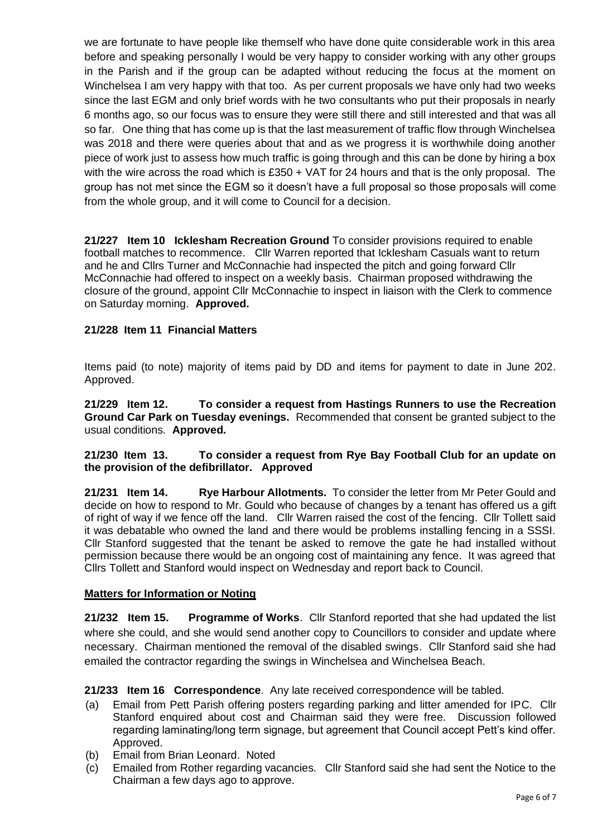we are fortunate to have people like themself who have done quite considerable work in this area before and speaking personally I would be very happy to consider working with any other groups in the Parish and if the group can be adapted without reducing the focus at the moment on Winchelsea I am very happy with that too. As per current proposals we have only had two weeks since the last EGM and only brief words with he two consultants who put their proposals in nearly 6 months ago, so our focus was to ensure they were still there and still interested and that was all so far. One thing that has come up is that the last measurement of traffic flow through Winchelsea was 2018 and there were queries about that and as we progress it is worthwhile doing another piece of work just to assess how much traffic is going through and this can be done by hiring a box with the wire across the road which is £350 + VAT for 24 hours and that is the only proposal. The group has not met since the EGM so it doesn't have a full proposal so those proposals will come from the whole group, and it will come to Council for a decision.

**21/227 Item 10 Icklesham Recreation Ground** To consider provisions required to enable football matches to recommence.Cllr Warren reported that Icklesham Casuals want to return and he and Cllrs Turner and McConnachie had inspected the pitch and going forward Cllr McConnachie had offered to inspect on a weekly basis. Chairman proposed withdrawing the closure of the ground, appoint Cllr McConnachie to inspect in liaison with the Clerk to commence on Saturday morning. **Approved.**

#### **21/228 Item 11 Financial Matters**

Items paid (to note) majority of items paid by DD and items for payment to date in June 202. Approved.

**21/229 Item 12. To consider a request from Hastings Runners to use the Recreation Ground Car Park on Tuesday evenings.** Recommended that consent be granted subject to the usual conditions. **Approved.**

#### **21/230 Item 13. To consider a request from Rye Bay Football Club for an update on the provision of the defibrillator. Approved**

**21/231 Item 14. Rye Harbour Allotments.** To consider the letter from Mr Peter Gould and decide on how to respond to Mr. Gould who because of changes by a tenant has offered us a gift of right of way if we fence off the land. Cllr Warren raised the cost of the fencing. Cllr Tollett said it was debatable who owned the land and there would be problems installing fencing in a SSSI. Cllr Stanford suggested that the tenant be asked to remove the gate he had installed without permission because there would be an ongoing cost of maintaining any fence. It was agreed that Cllrs Tollett and Stanford would inspect on Wednesday and report back to Council.

#### **Matters for Information or Noting**

**21/232 Item 15. Programme of Works**. Cllr Stanford reported that she had updated the list where she could, and she would send another copy to Councillors to consider and update where necessary. Chairman mentioned the removal of the disabled swings. Cllr Stanford said she had emailed the contractor regarding the swings in Winchelsea and Winchelsea Beach.

**21/233 Item 16 Correspondence**. Any late received correspondence will be tabled.

- (a) Email from Pett Parish offering posters regarding parking and litter amended for IPC. Cllr Stanford enquired about cost and Chairman said they were free. Discussion followed regarding laminating/long term signage, but agreement that Council accept Pett's kind offer. Approved.
- (b) Email from Brian Leonard. Noted
- (c) Emailed from Rother regarding vacancies. Cllr Stanford said she had sent the Notice to the Chairman a few days ago to approve.